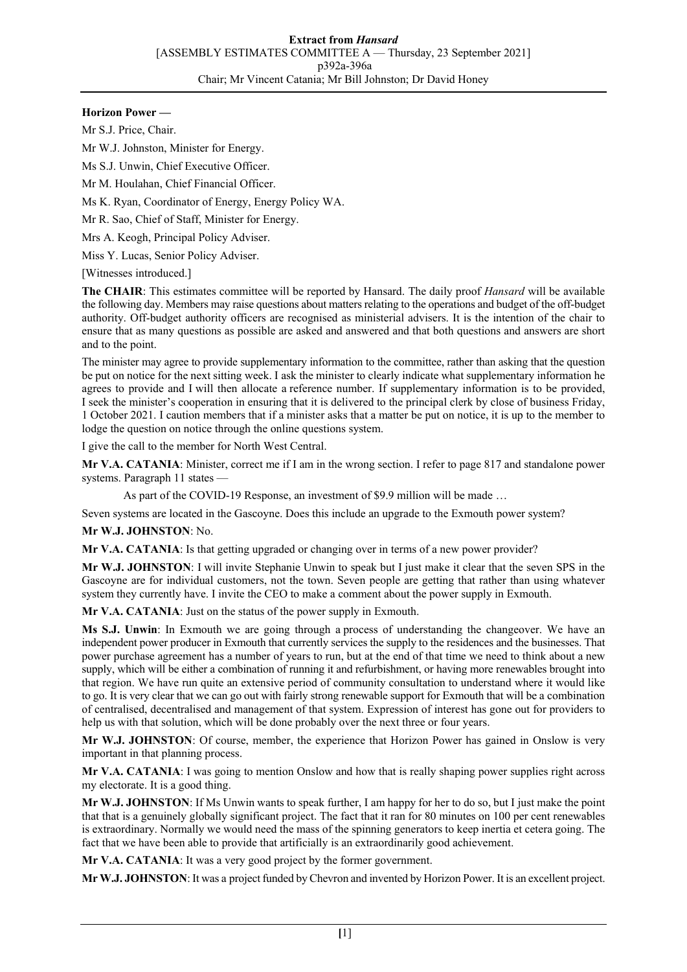## **Horizon Power —**

Mr S.J. Price, Chair.

Mr W.J. Johnston, Minister for Energy.

Ms S.J. Unwin, Chief Executive Officer.

Mr M. Houlahan, Chief Financial Officer.

Ms K. Ryan, Coordinator of Energy, Energy Policy WA.

Mr R. Sao, Chief of Staff, Minister for Energy.

Mrs A. Keogh, Principal Policy Adviser.

Miss Y. Lucas, Senior Policy Adviser.

[Witnesses introduced.]

**The CHAIR**: This estimates committee will be reported by Hansard. The daily proof *Hansard* will be available the following day. Members may raise questions about matters relating to the operations and budget of the off-budget authority. Off-budget authority officers are recognised as ministerial advisers. It is the intention of the chair to ensure that as many questions as possible are asked and answered and that both questions and answers are short and to the point.

The minister may agree to provide supplementary information to the committee, rather than asking that the question be put on notice for the next sitting week. I ask the minister to clearly indicate what supplementary information he agrees to provide and I will then allocate a reference number. If supplementary information is to be provided, I seek the minister's cooperation in ensuring that it is delivered to the principal clerk by close of business Friday, 1 October 2021. I caution members that if a minister asks that a matter be put on notice, it is up to the member to lodge the question on notice through the online questions system.

I give the call to the member for North West Central.

**Mr V.A. CATANIA**: Minister, correct me if I am in the wrong section. I refer to page 817 and standalone power systems. Paragraph 11 states

As part of the COVID-19 Response, an investment of \$9.9 million will be made …

Seven systems are located in the Gascoyne. Does this include an upgrade to the Exmouth power system?

**Mr W.J. JOHNSTON**: No.

**Mr V.A. CATANIA**: Is that getting upgraded or changing over in terms of a new power provider?

**Mr W.J. JOHNSTON**: I will invite Stephanie Unwin to speak but I just make it clear that the seven SPS in the Gascoyne are for individual customers, not the town. Seven people are getting that rather than using whatever system they currently have. I invite the CEO to make a comment about the power supply in Exmouth.

**Mr V.A. CATANIA**: Just on the status of the power supply in Exmouth.

**Ms S.J. Unwin**: In Exmouth we are going through a process of understanding the changeover. We have an independent power producer in Exmouth that currently services the supply to the residences and the businesses. That power purchase agreement has a number of years to run, but at the end of that time we need to think about a new supply, which will be either a combination of running it and refurbishment, or having more renewables brought into that region. We have run quite an extensive period of community consultation to understand where it would like to go. It is very clear that we can go out with fairly strong renewable support for Exmouth that will be a combination of centralised, decentralised and management of that system. Expression of interest has gone out for providers to help us with that solution, which will be done probably over the next three or four years.

**Mr W.J. JOHNSTON**: Of course, member, the experience that Horizon Power has gained in Onslow is very important in that planning process.

**Mr V.A. CATANIA**: I was going to mention Onslow and how that is really shaping power supplies right across my electorate. It is a good thing.

**Mr W.J. JOHNSTON**: If Ms Unwin wants to speak further, I am happy for her to do so, but I just make the point that that is a genuinely globally significant project. The fact that it ran for 80 minutes on 100 per cent renewables is extraordinary. Normally we would need the mass of the spinning generators to keep inertia et cetera going. The fact that we have been able to provide that artificially is an extraordinarily good achievement.

**Mr V.A. CATANIA**: It was a very good project by the former government.

**Mr W.J. JOHNSTON**: It was a project funded by Chevron and invented by Horizon Power. It is an excellent project.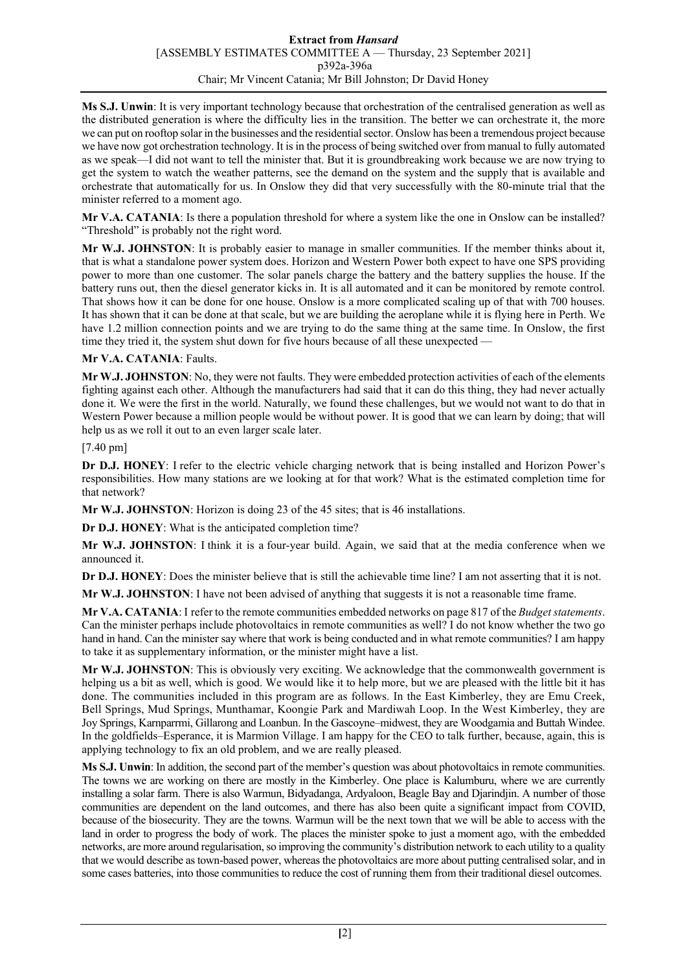**Ms S.J. Unwin**: It is very important technology because that orchestration of the centralised generation as well as the distributed generation is where the difficulty lies in the transition. The better we can orchestrate it, the more we can put on rooftop solar in the businesses and the residential sector. Onslow has been a tremendous project because we have now got orchestration technology. It is in the process of being switched over from manual to fully automated as we speak—I did not want to tell the minister that. But it is groundbreaking work because we are now trying to get the system to watch the weather patterns, see the demand on the system and the supply that is available and orchestrate that automatically for us. In Onslow they did that very successfully with the 80-minute trial that the minister referred to a moment ago.

**Mr V.A. CATANIA**: Is there a population threshold for where a system like the one in Onslow can be installed? "Threshold" is probably not the right word.

**Mr W.J. JOHNSTON**: It is probably easier to manage in smaller communities. If the member thinks about it, that is what a standalone power system does. Horizon and Western Power both expect to have one SPS providing power to more than one customer. The solar panels charge the battery and the battery supplies the house. If the battery runs out, then the diesel generator kicks in. It is all automated and it can be monitored by remote control. That shows how it can be done for one house. Onslow is a more complicated scaling up of that with 700 houses. It has shown that it can be done at that scale, but we are building the aeroplane while it is flying here in Perth. We have 1.2 million connection points and we are trying to do the same thing at the same time. In Onslow, the first time they tried it, the system shut down for five hours because of all these unexpected —

## **Mr V.A. CATANIA**: Faults.

**Mr W.J. JOHNSTON**: No, they were not faults. They were embedded protection activities of each of the elements fighting against each other. Although the manufacturers had said that it can do this thing, they had never actually done it. We were the first in the world. Naturally, we found these challenges, but we would not want to do that in Western Power because a million people would be without power. It is good that we can learn by doing; that will help us as we roll it out to an even larger scale later.

## [7.40 pm]

**Dr D.J. HONEY**: I refer to the electric vehicle charging network that is being installed and Horizon Power's responsibilities. How many stations are we looking at for that work? What is the estimated completion time for that network?

**Mr W.J. JOHNSTON**: Horizon is doing 23 of the 45 sites; that is 46 installations.

**Dr D.J. HONEY**: What is the anticipated completion time?

**Mr W.J. JOHNSTON**: I think it is a four-year build. Again, we said that at the media conference when we announced it.

**Dr D.J. HONEY**: Does the minister believe that is still the achievable time line? I am not asserting that it is not.

**Mr W.J. JOHNSTON**: I have not been advised of anything that suggests it is not a reasonable time frame.

**Mr V.A. CATANIA**: I refer to the remote communities embedded networks on page 817 of the *Budget statements*. Can the minister perhaps include photovoltaics in remote communities as well? I do not know whether the two go hand in hand. Can the minister say where that work is being conducted and in what remote communities? I am happy to take it as supplementary information, or the minister might have a list.

**Mr W.J. JOHNSTON**: This is obviously very exciting. We acknowledge that the commonwealth government is helping us a bit as well, which is good. We would like it to help more, but we are pleased with the little bit it has done. The communities included in this program are as follows. In the East Kimberley, they are Emu Creek, Bell Springs, Mud Springs, Munthamar, Koongie Park and Mardiwah Loop. In the West Kimberley, they are Joy Springs, Karnparrmi, Gillarong and Loanbun. In the Gascoyne–midwest, they are Woodgamia and Buttah Windee. In the goldfields–Esperance, it is Marmion Village. I am happy for the CEO to talk further, because, again, this is applying technology to fix an old problem, and we are really pleased.

**Ms S.J. Unwin**: In addition, the second part of the member's question was about photovoltaics in remote communities. The towns we are working on there are mostly in the Kimberley. One place is Kalumburu, where we are currently installing a solar farm. There is also Warmun, Bidyadanga, Ardyaloon, Beagle Bay and Djarindjin. A number of those communities are dependent on the land outcomes, and there has also been quite a significant impact from COVID, because of the biosecurity. They are the towns. Warmun will be the next town that we will be able to access with the land in order to progress the body of work. The places the minister spoke to just a moment ago, with the embedded networks, are more around regularisation, so improving the community's distribution network to each utility to a quality that we would describe as town-based power, whereas the photovoltaics are more about putting centralised solar, and in some cases batteries, into those communities to reduce the cost of running them from their traditional diesel outcomes.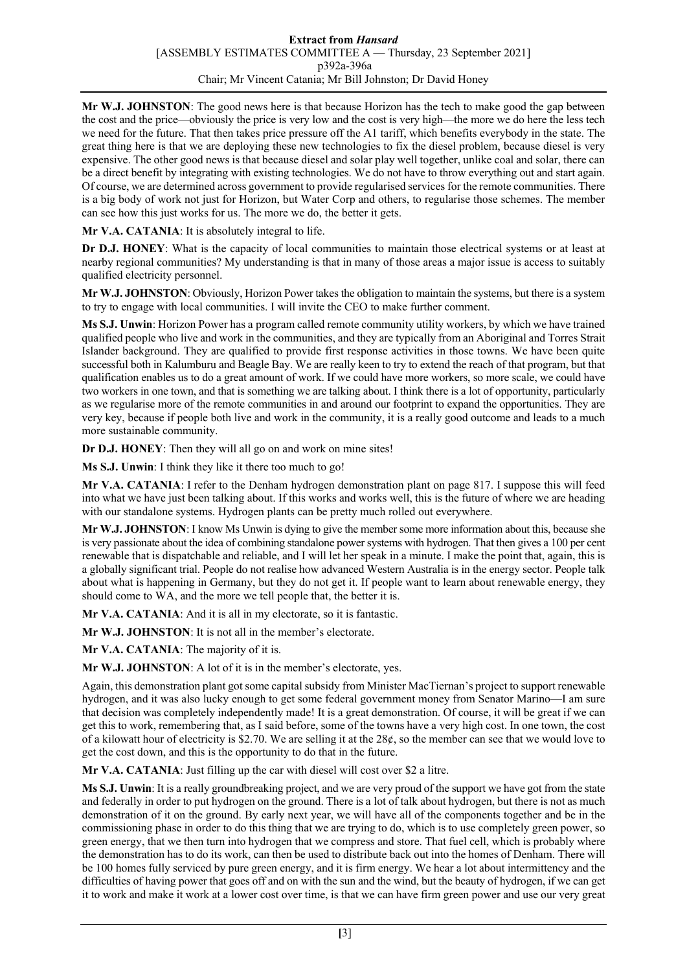**Mr W.J. JOHNSTON**: The good news here is that because Horizon has the tech to make good the gap between the cost and the price—obviously the price is very low and the cost is very high—the more we do here the less tech we need for the future. That then takes price pressure off the A1 tariff, which benefits everybody in the state. The great thing here is that we are deploying these new technologies to fix the diesel problem, because diesel is very expensive. The other good news is that because diesel and solar play well together, unlike coal and solar, there can be a direct benefit by integrating with existing technologies. We do not have to throw everything out and start again. Of course, we are determined across government to provide regularised services for the remote communities. There is a big body of work not just for Horizon, but Water Corp and others, to regularise those schemes. The member can see how this just works for us. The more we do, the better it gets.

**Mr V.A. CATANIA**: It is absolutely integral to life.

**Dr D.J. HONEY**: What is the capacity of local communities to maintain those electrical systems or at least at nearby regional communities? My understanding is that in many of those areas a major issue is access to suitably qualified electricity personnel.

**Mr W.J. JOHNSTON**: Obviously, Horizon Power takes the obligation to maintain the systems, but there is a system to try to engage with local communities. I will invite the CEO to make further comment.

**Ms S.J. Unwin**: Horizon Power has a program called remote community utility workers, by which we have trained qualified people who live and work in the communities, and they are typically from an Aboriginal and Torres Strait Islander background. They are qualified to provide first response activities in those towns. We have been quite successful both in Kalumburu and Beagle Bay. We are really keen to try to extend the reach of that program, but that qualification enables us to do a great amount of work. If we could have more workers, so more scale, we could have two workers in one town, and that is something we are talking about. I think there is a lot of opportunity, particularly as we regularise more of the remote communities in and around our footprint to expand the opportunities. They are very key, because if people both live and work in the community, it is a really good outcome and leads to a much more sustainable community.

**Dr D.J. HONEY**: Then they will all go on and work on mine sites!

**Ms S.J. Unwin**: I think they like it there too much to go!

**Mr V.A. CATANIA**: I refer to the Denham hydrogen demonstration plant on page 817. I suppose this will feed into what we have just been talking about. If this works and works well, this is the future of where we are heading with our standalone systems. Hydrogen plants can be pretty much rolled out everywhere.

**Mr W.J. JOHNSTON**: I know Ms Unwin is dying to give the member some more information about this, because she is very passionate about the idea of combining standalone power systems with hydrogen. That then gives a 100 per cent renewable that is dispatchable and reliable, and I will let her speak in a minute. I make the point that, again, this is a globally significant trial. People do not realise how advanced Western Australia is in the energy sector. People talk about what is happening in Germany, but they do not get it. If people want to learn about renewable energy, they should come to WA, and the more we tell people that, the better it is.

**Mr V.A. CATANIA**: And it is all in my electorate, so it is fantastic.

**Mr W.J. JOHNSTON**: It is not all in the member's electorate.

**Mr V.A. CATANIA**: The majority of it is.

**Mr W.J. JOHNSTON**: A lot of it is in the member's electorate, yes.

Again, this demonstration plant got some capital subsidy from Minister MacTiernan's project to support renewable hydrogen, and it was also lucky enough to get some federal government money from Senator Marino—I am sure that decision was completely independently made! It is a great demonstration. Of course, it will be great if we can get this to work, remembering that, as I said before, some of the towns have a very high cost. In one town, the cost of a kilowatt hour of electricity is \$2.70. We are selling it at the  $28¢$ , so the member can see that we would love to get the cost down, and this is the opportunity to do that in the future.

**Mr V.A. CATANIA**: Just filling up the car with diesel will cost over \$2 a litre.

**Ms S.J. Unwin**: It is a really groundbreaking project, and we are very proud of the support we have got from the state and federally in order to put hydrogen on the ground. There is a lot of talk about hydrogen, but there is not as much demonstration of it on the ground. By early next year, we will have all of the components together and be in the commissioning phase in order to do this thing that we are trying to do, which is to use completely green power, so green energy, that we then turn into hydrogen that we compress and store. That fuel cell, which is probably where the demonstration has to do its work, can then be used to distribute back out into the homes of Denham. There will be 100 homes fully serviced by pure green energy, and it is firm energy. We hear a lot about intermittency and the difficulties of having power that goes off and on with the sun and the wind, but the beauty of hydrogen, if we can get it to work and make it work at a lower cost over time, is that we can have firm green power and use our very great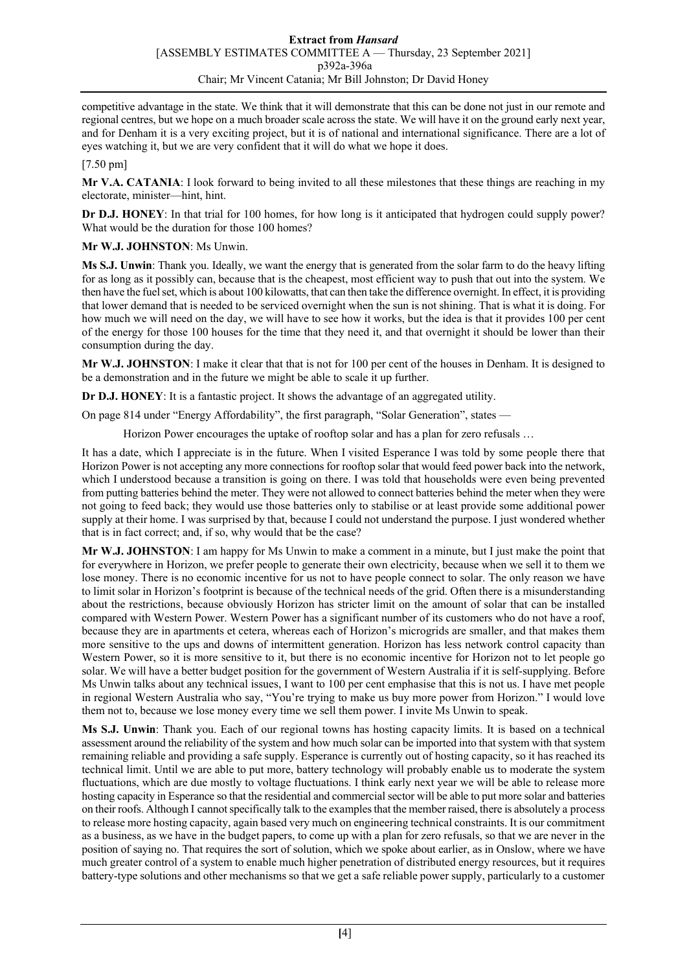competitive advantage in the state. We think that it will demonstrate that this can be done not just in our remote and regional centres, but we hope on a much broader scale across the state. We will have it on the ground early next year, and for Denham it is a very exciting project, but it is of national and international significance. There are a lot of eyes watching it, but we are very confident that it will do what we hope it does.

[7.50 pm]

**Mr V.A. CATANIA**: I look forward to being invited to all these milestones that these things are reaching in my electorate, minister—hint, hint.

**Dr D.J. HONEY**: In that trial for 100 homes, for how long is it anticipated that hydrogen could supply power? What would be the duration for those 100 homes?

**Mr W.J. JOHNSTON**: Ms Unwin.

**Ms S.J. Unwin**: Thank you. Ideally, we want the energy that is generated from the solar farm to do the heavy lifting for as long as it possibly can, because that is the cheapest, most efficient way to push that out into the system. We then have the fuel set, which is about 100 kilowatts, that can then take the difference overnight. In effect, it is providing that lower demand that is needed to be serviced overnight when the sun is not shining. That is what it is doing. For how much we will need on the day, we will have to see how it works, but the idea is that it provides 100 per cent of the energy for those 100 houses for the time that they need it, and that overnight it should be lower than their consumption during the day.

**Mr W.J. JOHNSTON**: I make it clear that that is not for 100 per cent of the houses in Denham. It is designed to be a demonstration and in the future we might be able to scale it up further.

**Dr D.J. HONEY**: It is a fantastic project. It shows the advantage of an aggregated utility.

On page 814 under "Energy Affordability", the first paragraph, "Solar Generation", states —

Horizon Power encourages the uptake of rooftop solar and has a plan for zero refusals …

It has a date, which I appreciate is in the future. When I visited Esperance I was told by some people there that Horizon Power is not accepting any more connections for rooftop solar that would feed power back into the network, which I understood because a transition is going on there. I was told that households were even being prevented from putting batteries behind the meter. They were not allowed to connect batteries behind the meter when they were not going to feed back; they would use those batteries only to stabilise or at least provide some additional power supply at their home. I was surprised by that, because I could not understand the purpose. I just wondered whether that is in fact correct; and, if so, why would that be the case?

**Mr W.J. JOHNSTON**: I am happy for Ms Unwin to make a comment in a minute, but I just make the point that for everywhere in Horizon, we prefer people to generate their own electricity, because when we sell it to them we lose money. There is no economic incentive for us not to have people connect to solar. The only reason we have to limit solar in Horizon's footprint is because of the technical needs of the grid. Often there is a misunderstanding about the restrictions, because obviously Horizon has stricter limit on the amount of solar that can be installed compared with Western Power. Western Power has a significant number of its customers who do not have a roof, because they are in apartments et cetera, whereas each of Horizon's microgrids are smaller, and that makes them more sensitive to the ups and downs of intermittent generation. Horizon has less network control capacity than Western Power, so it is more sensitive to it, but there is no economic incentive for Horizon not to let people go solar. We will have a better budget position for the government of Western Australia if it is self-supplying. Before Ms Unwin talks about any technical issues, I want to 100 per cent emphasise that this is not us. I have met people in regional Western Australia who say, "You're trying to make us buy more power from Horizon." I would love them not to, because we lose money every time we sell them power. I invite Ms Unwin to speak.

**Ms S.J. Unwin**: Thank you. Each of our regional towns has hosting capacity limits. It is based on a technical assessment around the reliability of the system and how much solar can be imported into that system with that system remaining reliable and providing a safe supply. Esperance is currently out of hosting capacity, so it has reached its technical limit. Until we are able to put more, battery technology will probably enable us to moderate the system fluctuations, which are due mostly to voltage fluctuations. I think early next year we will be able to release more hosting capacity in Esperance so that the residential and commercial sector will be able to put more solar and batteries on their roofs. Although I cannot specifically talk to the examples that the member raised, there is absolutely a process to release more hosting capacity, again based very much on engineering technical constraints. It is our commitment as a business, as we have in the budget papers, to come up with a plan for zero refusals, so that we are never in the position of saying no. That requires the sort of solution, which we spoke about earlier, as in Onslow, where we have much greater control of a system to enable much higher penetration of distributed energy resources, but it requires battery-type solutions and other mechanisms so that we get a safe reliable power supply, particularly to a customer